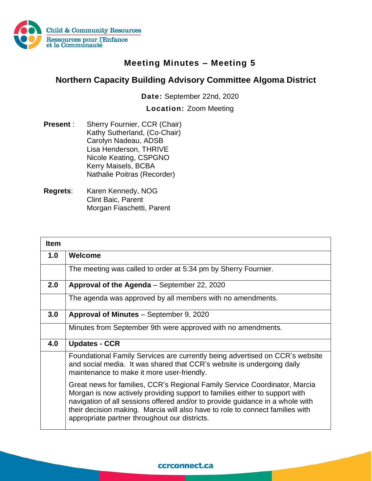

## **Meeting Minutes – Meeting 5**

## **Northern Capacity Building Advisory Committee Algoma District**

**Date:** September 22nd, 2020

**Location:** Zoom Meeting

- **Present** : Sherry Fournier, CCR (Chair) Kathy Sutherland, (Co-Chair) Carolyn Nadeau, ADSB Lisa Henderson, THRIVE Nicole Keating, CSPGNO Kerry Maisels, BCBA Nathalie Poitras (Recorder)
- **Regrets**: Karen Kennedy, NOG Clint Baic, Parent Morgan Fiaschetti, Parent

| <b>Item</b> |                                                                                                                                                                                                                                                                                                                                                                              |
|-------------|------------------------------------------------------------------------------------------------------------------------------------------------------------------------------------------------------------------------------------------------------------------------------------------------------------------------------------------------------------------------------|
| 1.0         | Welcome                                                                                                                                                                                                                                                                                                                                                                      |
|             | The meeting was called to order at 5:34 pm by Sherry Fournier.                                                                                                                                                                                                                                                                                                               |
| 2.0         | Approval of the Agenda - September 22, 2020                                                                                                                                                                                                                                                                                                                                  |
|             | The agenda was approved by all members with no amendments.                                                                                                                                                                                                                                                                                                                   |
| 3.0         | Approval of Minutes - September 9, 2020                                                                                                                                                                                                                                                                                                                                      |
|             | Minutes from September 9th were approved with no amendments.                                                                                                                                                                                                                                                                                                                 |
| 4.0         | <b>Updates - CCR</b>                                                                                                                                                                                                                                                                                                                                                         |
|             | Foundational Family Services are currently being advertised on CCR's website<br>and social media. It was shared that CCR's website is undergoing daily<br>maintenance to make it more user-friendly.                                                                                                                                                                         |
|             | Great news for families, CCR's Regional Family Service Coordinator, Marcia<br>Morgan is now actively providing support to families either to support with<br>navigation of all sessions offered and/or to provide guidance in a whole with<br>their decision making. Marcia will also have to role to connect families with<br>appropriate partner throughout our districts. |

## ccrconnect.ca